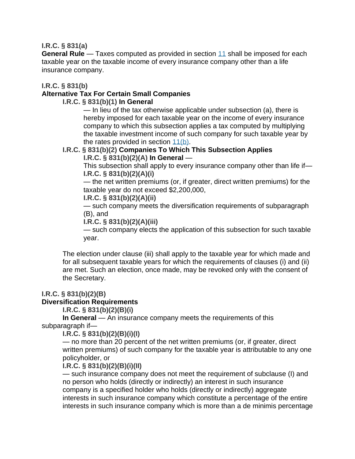#### **I.R.C. § 831(a)**

**General Rule** — Taxes computed as provided in section [11](https://irc.bloombergtax.com/public/uscode/doc/irc/section_11?trackingcode=BTAX18523) shall be imposed for each taxable year on the taxable income of every insurance company other than a life insurance company.

**I.R.C. § 831(b)**

#### **Alternative Tax For Certain Small Companies**

#### **I.R.C. § 831(b)(1) In General**

— In lieu of the tax otherwise applicable under subsection (a), there is hereby imposed for each taxable year on the income of every insurance company to which this subsection applies a tax computed by multiplying the taxable investment income of such company for such taxable year by the rates provided in section [11\(b\).](https://irc.bloombergtax.com/public/uscode/doc/irc/section_11?trackingcode=BTAX18523)

#### **I.R.C. § 831(b)(2) Companies To Which This Subsection Applies I.R.C. § 831(b)(2)(A) In General** —

This subsection shall apply to every insurance company other than life if—

# **I.R.C. § 831(b)(2)(A)(i)**

— the net written premiums (or, if greater, direct written premiums) for the taxable year do not exceed \$2,200,000,

**I.R.C. § 831(b)(2)(A)(ii)**

— such company meets the diversification requirements of subparagraph (B), and

**I.R.C. § 831(b)(2)(A)(iii)**

— such company elects the application of this subsection for such taxable year.

The election under clause (iii) shall apply to the taxable year for which made and for all subsequent taxable years for which the requirements of clauses (i) and (ii) are met. Such an election, once made, may be revoked only with the consent of the Secretary.

# **I.R.C. § 831(b)(2)(B)**

# **Diversification Requirements**

**I.R.C. § 831(b)(2)(B)(i)**

**In General** — An insurance company meets the requirements of this subparagraph if—

**I.R.C. § 831(b)(2)(B)(i)(I)**

— no more than 20 percent of the net written premiums (or, if greater, direct written premiums) of such company for the taxable year is attributable to any one policyholder, or

#### **I.R.C. § 831(b)(2)(B)(i)(II)**

— such insurance company does not meet the requirement of subclause (I) and no person who holds (directly or indirectly) an interest in such insurance company is a specified holder who holds (directly or indirectly) aggregate interests in such insurance company which constitute a percentage of the entire interests in such insurance company which is more than a de minimis percentage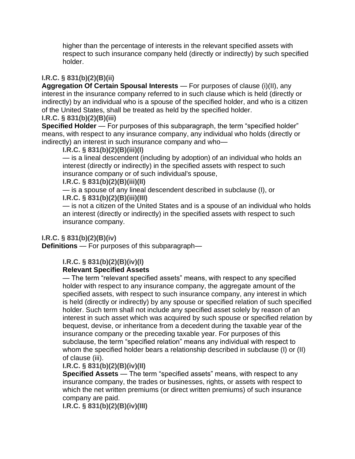higher than the percentage of interests in the relevant specified assets with respect to such insurance company held (directly or indirectly) by such specified holder.

# **I.R.C. § 831(b)(2)(B)(ii)**

**Aggregation Of Certain Spousal Interests** — For purposes of clause (i)(II), any interest in the insurance company referred to in such clause which is held (directly or indirectly) by an individual who is a spouse of the specified holder, and who is a citizen of the United States, shall be treated as held by the specified holder.

# **I.R.C. § 831(b)(2)(B)(iii)**

**Specified Holder** — For purposes of this subparagraph, the term "specified holder" means, with respect to any insurance company, any individual who holds (directly or indirectly) an interest in such insurance company and who—

# **I.R.C. § 831(b)(2)(B)(iii)(I)**

— is a lineal descendent (including by adoption) of an individual who holds an interest (directly or indirectly) in the specified assets with respect to such insurance company or of such individual's spouse,

### **I.R.C. § 831(b)(2)(B)(iii)(II)**

— is a spouse of any lineal descendent described in subclause (I), or

# **I.R.C. § 831(b)(2)(B)(iii)(III)**

— is not a citizen of the United States and is a spouse of an individual who holds an interest (directly or indirectly) in the specified assets with respect to such insurance company.

# **I.R.C. § 831(b)(2)(B)(iv)**

**Definitions** — For purposes of this subparagraph—

# **I.R.C. § 831(b)(2)(B)(iv)(I)**

# **Relevant Specified Assets**

— The term "relevant specified assets" means, with respect to any specified holder with respect to any insurance company, the aggregate amount of the specified assets, with respect to such insurance company, any interest in which is held (directly or indirectly) by any spouse or specified relation of such specified holder. Such term shall not include any specified asset solely by reason of an interest in such asset which was acquired by such spouse or specified relation by bequest, devise, or inheritance from a decedent during the taxable year of the insurance company or the preceding taxable year. For purposes of this subclause, the term "specified relation" means any individual with respect to whom the specified holder bears a relationship described in subclause (I) or (II) of clause (iii).

# **I.R.C. § 831(b)(2)(B)(iv)(II)**

**Specified Assets** — The term "specified assets" means, with respect to any insurance company, the trades or businesses, rights, or assets with respect to which the net written premiums (or direct written premiums) of such insurance company are paid.

**I.R.C. § 831(b)(2)(B)(iv)(III)**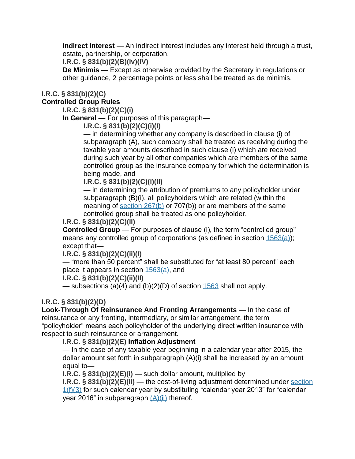**Indirect Interest** — An indirect interest includes any interest held through a trust, estate, partnership, or corporation.

**I.R.C. § 831(b)(2)(B)(iv)(IV)**

**De Minimis** — Except as otherwise provided by the Secretary in regulations or other guidance, 2 percentage points or less shall be treated as de minimis.

#### **I.R.C. § 831(b)(2)(C)**

**Controlled Group Rules**

**I.R.C. § 831(b)(2)(C)(i)**

**In General** — For purposes of this paragraph—

**I.R.C. § 831(b)(2)(C)(i)(I)**

— in determining whether any company is described in clause (i) of subparagraph (A), such company shall be treated as receiving during the taxable year amounts described in such clause (i) which are received during such year by all other companies which are members of the same controlled group as the insurance company for which the determination is being made, and

**I.R.C. § 831(b)(2)(C)(i)(II)**

— in determining the attribution of premiums to any policyholder under subparagraph (B)(i), all policyholders which are related (within the meaning of [section 267\(b\)](https://irc.bloombergtax.com/public/uscode/doc/irc/section_267?trackingcode=BTAX18523) or 707(b)) or are members of the same controlled group shall be treated as one policyholder.

#### **I.R.C. § 831(b)(2)(C)(ii)**

**Controlled Group** — For purposes of clause (i), the term "controlled group" means any controlled group of corporations (as defined in section [1563\(a\)\)](https://irc.bloombergtax.com/public/uscode/doc/irc/section_1563?trackingcode=BTAX18523); except that—

#### **I.R.C. § 831(b)(2)(C)(ii)(I)**

— "more than 50 percent" shall be substituted for "at least 80 percent" each place it appears in section [1563\(a\),](https://irc.bloombergtax.com/public/uscode/doc/irc/section_1563?trackingcode=BTAX18523) and

#### **I.R.C. § 831(b)(2)(C)(ii)(II)**

— subsections (a)(4) and (b)(2)(D) of section  $1563$  shall not apply.

# **I.R.C. § 831(b)(2)(D)**

**Look-Through Of Reinsurance And Fronting Arrangements** — In the case of reinsurance or any fronting, intermediary, or similar arrangement, the term "policyholder" means each policyholder of the underlying direct written insurance with respect to such reinsurance or arrangement.

#### **I.R.C. § 831(b)(2)(E) Inflation Adjustment**

— In the case of any taxable year beginning in a calendar year after 2015, the dollar amount set forth in subparagraph (A)(i) shall be increased by an amount equal to—

**I.R.C. § 831(b)(2)(E)(i)** — such dollar amount, multiplied by

**I.R.C. § 831(b)(2)(E)(ii)** — the cost-of-living adjustment determined under [section](https://irc.bloombergtax.com/public/uscode/doc/irc/section_1?trackingcode=BTAX18523)   $1(f)(3)$  for such calendar year by substituting "calendar year 2013" for "calendar vear 2016" in subparagraph  $(A)(ii)$  thereof.